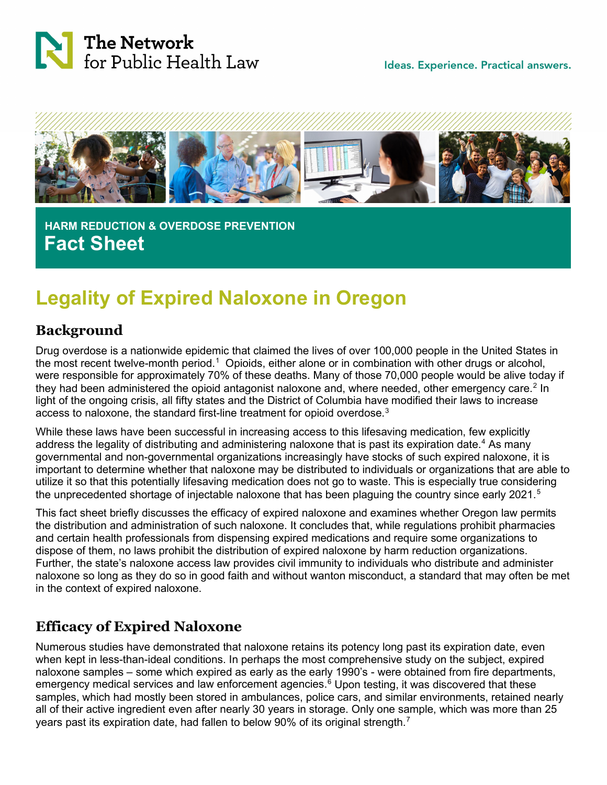

Ideas. Experience. Practical answers.



 **HARM REDUCTION & OVERDOSE PREVENTION Fact Sheet**

# **Legality of Expired Naloxone in Oregon**

### **Background**

Drug overdose is a nationwide epidemic that claimed the lives of over 100,000 people in the United States in the most recent twelve-month period.<sup>[1](#page-3-0)</sup> Opioids, either alone or in combination with other drugs or alcohol, were responsible for approximately 70% of these deaths. Many of those 70,000 people would be alive today if they had been administered the opioid antagonist naloxone and, where needed, other emergency care.<sup>[2](#page-3-1)</sup> In light of the ongoing crisis, all fifty states and the District of Columbia have modified their laws to increase access to naloxone, the standard first-line treatment for opioid overdose.<sup>[3](#page-3-2)</sup>

While these laws have been successful in increasing access to this lifesaving medication, few explicitly address the legality of distributing and administering naloxone that is past its expiration date.<sup>[4](#page-3-3)</sup> As many governmental and non-governmental organizations increasingly have stocks of such expired naloxone, it is important to determine whether that naloxone may be distributed to individuals or organizations that are able to utilize it so that this potentially lifesaving medication does not go to waste. This is especially true considering the unprecedented shortage of injectable naloxone that has been plaguing the country since early 2021.<sup>[5](#page-3-4)</sup>

This fact sheet briefly discusses the efficacy of expired naloxone and examines whether Oregon law permits the distribution and administration of such naloxone. It concludes that, while regulations prohibit pharmacies and certain health professionals from dispensing expired medications and require some organizations to dispose of them, no laws prohibit the distribution of expired naloxone by harm reduction organizations. Further, the state's naloxone access law provides civil immunity to individuals who distribute and administer naloxone so long as they do so in good faith and without wanton misconduct, a standard that may often be met in the context of expired naloxone.

# **Efficacy of Expired Naloxone**

Numerous studies have demonstrated that naloxone retains its potency long past its expiration date, even when kept in less-than-ideal conditions. In perhaps the most comprehensive study on the subject, expired naloxone samples – some which expired as early as the early 1990's - were obtained from fire departments, emergency medical services and law enforcement agencies. [6](#page-3-5) Upon testing, it was discovered that these samples, which had mostly been stored in ambulances, police cars, and similar environments, retained nearly all of their active ingredient even after nearly 30 years in storage. Only one sample, which was more than 25 years past its expiration date, had fallen to below 90% of its original strength.<sup>[7](#page-3-6)</sup>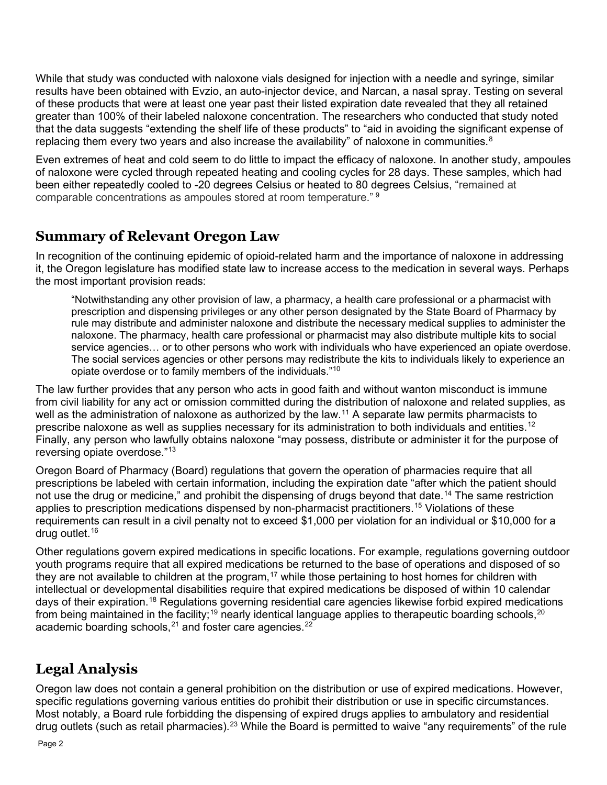While that study was conducted with naloxone vials designed for injection with a needle and syringe, similar results have been obtained with Evzio, an auto-injector device, and Narcan, a nasal spray. Testing on several of these products that were at least one year past their listed expiration date revealed that they all retained greater than 100% of their labeled naloxone concentration. The researchers who conducted that study noted that the data suggests "extending the shelf life of these products" to "aid in avoiding the significant expense of replacing them every two years and also increase the availability" of naloxone in communities. $^8$  $^8$ 

Even extremes of heat and cold seem to do little to impact the efficacy of naloxone. In another study, ampoules of naloxone were cycled through repeated heating and cooling cycles for 28 days. These samples, which had been either repeatedly cooled to -20 degrees Celsius or heated to 80 degrees Celsius, "remained at comparable concentrations as ampoules stored at room temperature." [9](#page-3-8)

### **Summary of Relevant Oregon Law**

In recognition of the continuing epidemic of opioid-related harm and the importance of naloxone in addressing it, the Oregon legislature has modified state law to increase access to the medication in several ways. Perhaps the most important provision reads:

"Notwithstanding any other provision of law, a pharmacy, a health care professional or a pharmacist with prescription and dispensing privileges or any other person designated by the State Board of Pharmacy by rule may distribute and administer naloxone and distribute the necessary medical supplies to administer the naloxone. The pharmacy, health care professional or pharmacist may also distribute multiple kits to social service agencies… or to other persons who work with individuals who have experienced an opiate overdose. The social services agencies or other persons may redistribute the kits to individuals likely to experience an opiate overdose or to family members of the individuals."[10](#page-3-9)

The law further provides that any person who acts in good faith and without wanton misconduct is immune from civil liability for any act or omission committed during the distribution of naloxone and related supplies, as well as the administration of naloxone as authorized by the law.<sup>[11](#page-3-10)</sup> A separate law permits pharmacists to prescribe naloxone as well as supplies necessary for its administration to both individuals and entities. $^{\rm 12}$  $^{\rm 12}$  $^{\rm 12}$ Finally, any person who lawfully obtains naloxone "may possess, distribute or administer it for the purpose of reversing opiate overdose."[13](#page-3-12)

Oregon Board of Pharmacy (Board) regulations that govern the operation of pharmacies require that all prescriptions be labeled with certain information, including the expiration date "after which the patient should not use the drug or medicine," and prohibit the dispensing of drugs beyond that date.<sup>[14](#page-3-13)</sup> The same restriction applies to prescription medications dispensed by non-pharmacist practitioners.<sup>[15](#page-3-14)</sup> Violations of these requirements can result in a civil penalty not to exceed \$1,000 per violation for an individual or \$10,000 for a drug outlet.[16](#page-3-15)

Other regulations govern expired medications in specific locations. For example, regulations governing outdoor youth programs require that all expired medications be returned to the base of operations and disposed of so they are not available to children at the program,<sup>[17](#page-3-16)</sup> while those pertaining to host homes for children with intellectual or developmental disabilities require that expired medications be disposed of within 10 calendar days of their expiration.<sup>[18](#page-3-17)</sup> Regulations governing residential care agencies likewise forbid expired medications from being maintained in the facility;<sup>[19](#page-3-18)</sup> nearly identical language applies to therapeutic boarding schools,<sup>[20](#page-3-19)</sup> academic boarding schools,  $21$  and foster care agencies.  $22$ 

# **Legal Analysis**

Oregon law does not contain a general prohibition on the distribution or use of expired medications. However, specific regulations governing various entities do prohibit their distribution or use in specific circumstances. Most notably, a Board rule forbidding the dispensing of expired drugs applies to ambulatory and residential drug outlets (such as retail pharmacies).<sup>[23](#page-3-22)</sup> While the Board is permitted to waive "any requirements" of the rule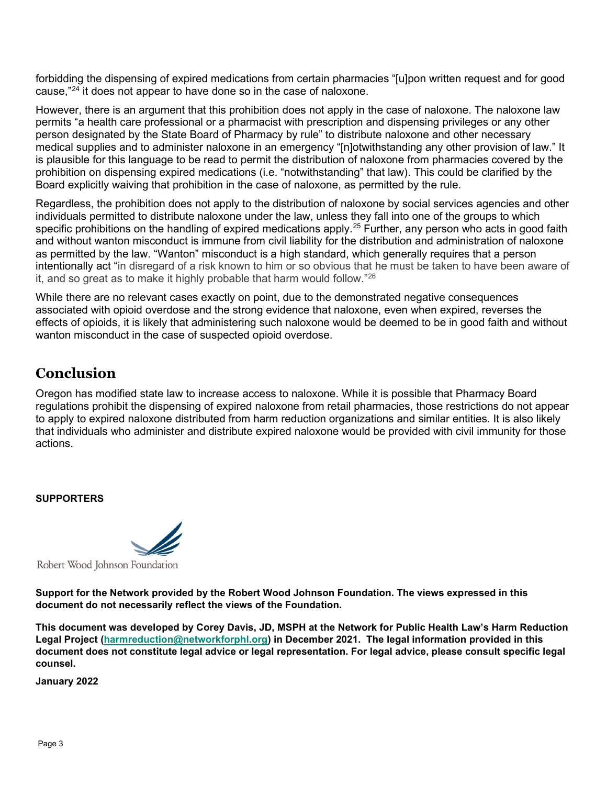forbidding the dispensing of expired medications from certain pharmacies "[u]pon written request and for good cause,"[24](#page-3-23) it does not appear to have done so in the case of naloxone.

However, there is an argument that this prohibition does not apply in the case of naloxone. The naloxone law permits "a health care professional or a pharmacist with prescription and dispensing privileges or any other person designated by the State Board of Pharmacy by rule" to distribute naloxone and other necessary medical supplies and to administer naloxone in an emergency "[n]otwithstanding any other provision of law." It is plausible for this language to be read to permit the distribution of naloxone from pharmacies covered by the prohibition on dispensing expired medications (i.e. "notwithstanding" that law). This could be clarified by the Board explicitly waiving that prohibition in the case of naloxone, as permitted by the rule.

Regardless, the prohibition does not apply to the distribution of naloxone by social services agencies and other individuals permitted to distribute naloxone under the law, unless they fall into one of the groups to which specific prohibitions on the handling of expired medications apply.<sup>[25](#page-3-24)</sup> Further, any person who acts in good faith and without wanton misconduct is immune from civil liability for the distribution and administration of naloxone as permitted by the law. "Wanton" misconduct is a high standard, which generally requires that a person intentionally act "in disregard of a risk known to him or so obvious that he must be taken to have been aware of it, and so great as to make it highly probable that harm would follow."[26](#page-3-25)

While there are no relevant cases exactly on point, due to the demonstrated negative consequences associated with opioid overdose and the strong evidence that naloxone, even when expired, reverses the effects of opioids, it is likely that administering such naloxone would be deemed to be in good faith and without wanton misconduct in the case of suspected opioid overdose.

#### **Conclusion**

Oregon has modified state law to increase access to naloxone. While it is possible that Pharmacy Board regulations prohibit the dispensing of expired naloxone from retail pharmacies, those restrictions do not appear to apply to expired naloxone distributed from harm reduction organizations and similar entities. It is also likely that individuals who administer and distribute expired naloxone would be provided with civil immunity for those actions.

#### **SUPPORTERS**



**Support for the Network provided by the Robert Wood Johnson Foundation. The views expressed in this document do not necessarily reflect the views of the Foundation.**

**This document was developed by Corey Davis, JD, MSPH at the Network for Public Health Law's Harm Reduction Legal Project [\(harmreduction@networkforphl.org\)](mailto:harmreduction@networkforphl.org) in December 2021. The legal information provided in this document does not constitute legal advice or legal representation. For legal advice, please consult specific legal counsel.**

**January 2022**